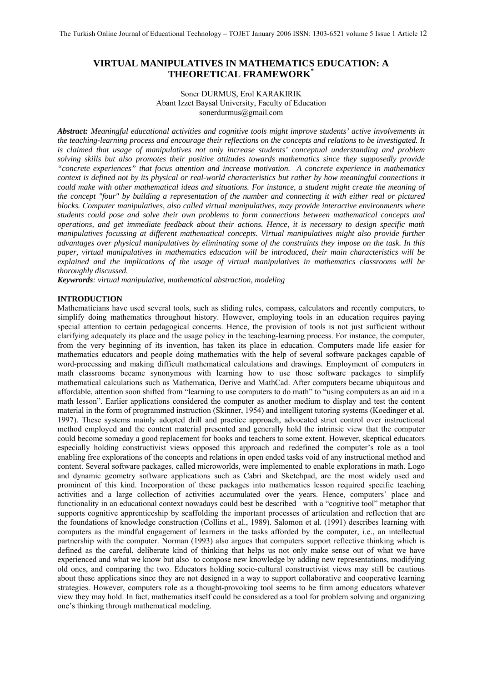# **VIRTUAL MANIPULATIVES IN MATHEMATICS EDUCATION: A THEORETICAL FRAMEWORK\***

### Soner DURMUŞ, Erol KARAKIRIK Abant Izzet Baysal University, Faculty of Education sonerdurmus@gmail.com

*Abstract: Meaningful educational activities and cognitive tools might improve students' active involvements in the teaching-learning process and encourage their reflections on the concepts and relations to be investigated. It is claimed that usage of manipulatives not only increase students' conceptual understanding and problem solving skills but also promotes their positive attitudes towards mathematics since they supposedly provide "concrete experiences" that focus attention and increase motivation. A concrete experience in mathematics context is defined not by its physical or real-world characteristics but rather by how meaningful connections it could make with other mathematical ideas and situations. For instance, a student might create the meaning of the concept "four" by building a representation of the number and connecting it with either real or pictured blocks. Computer manipulatives, also called virtual manipulatives, may provide interactive environments where students could pose and solve their own problems to form connections between mathematical concepts and operations, and get immediate feedback about their actions. Hence, it is necessary to design specific math manipulatives focussing at different mathematical concepts. Virtual manipulatives might also provide further advantages over physical manipulatives by eliminating some of the constraints they impose on the task. In this paper, virtual manipulatives in mathematics education will be introduced, their main characteristics will be explained and the implications of the usage of virtual manipulatives in mathematics classrooms will be thoroughly discussed.* 

*Keywrords: virtual manipulative, mathematical abstraction, modeling* 

# **INTRODUCTION**

Mathematicians have used several tools, such as sliding rules, compass, calculators and recently computers, to simplify doing mathematics throughout history. However, employing tools in an education requires paying special attention to certain pedagogical concerns. Hence, the provision of tools is not just sufficient without clarifying adequately its place and the usage policy in the teaching-learning process. For instance, the computer, from the very beginning of its invention, has taken its place in education. Computers made life easier for mathematics educators and people doing mathematics with the help of several software packages capable of word-processing and making difficult mathematical calculations and drawings. Employment of computers in math classrooms became synonymous with learning how to use those software packages to simplify mathematical calculations such as Mathematica, Derive and MathCad. After computers became ubiquitous and affordable, attention soon shifted from "learning to use computers to do math" to "using computers as an aid in a math lesson". Earlier applications considered the computer as another medium to display and test the content material in the form of programmed instruction (Skinner, 1954) and intelligent tutoring systems (Koedinger et al. 1997). These systems mainly adopted drill and practice approach, advocated strict control over instructional method employed and the content material presented and generally hold the intrinsic view that the computer could become someday a good replacement for books and teachers to some extent. However, skeptical educators especially holding constructivist views opposed this approach and redefined the computer's role as a tool enabling free explorations of the concepts and relations in open ended tasks void of any instructional method and content. Several software packages, called microworlds, were implemented to enable explorations in math. Logo and dynamic geometry software applications such as Cabri and Sketchpad, are the most widely used and prominent of this kind. Incorporation of these packages into mathematics lesson required specific teaching activities and a large collection of activities accumulated over the years. Hence, computers' place and functionality in an educational context nowadays could best be described with a "cognitive tool" metaphor that supports cognitive apprenticeship by scaffolding the important processes of articulation and reflection that are the foundations of knowledge construction (Collins et al., 1989). Salomon et al. (1991) describes learning with computers as the mindful engagement of learners in the tasks afforded by the computer, i.e., an intellectual partnership with the computer. Norman (1993) also argues that computers support reflective thinking which is defined as the careful, deliberate kind of thinking that helps us not only make sense out of what we have experienced and what we know but also to compose new knowledge by adding new representations, modifying old ones, and comparing the two. Educators holding socio-cultural constructivist views may still be cautious about these applications since they are not designed in a way to support collaborative and cooperative learning strategies. However, computers role as a thought-provoking tool seems to be firm among educators whatever view they may hold. In fact, mathematics itself could be considered as a tool for problem solving and organizing one's thinking through mathematical modeling.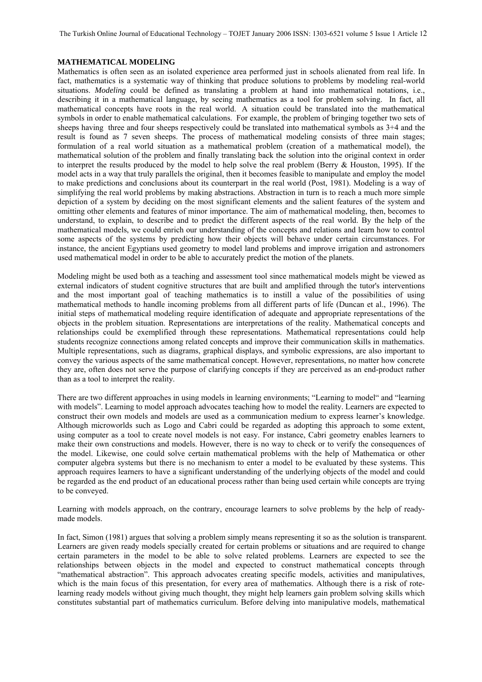The Turkish Online Journal of Educational Technology – TOJET January 2006 ISSN: 1303-6521 volume 5 Issue 1 Article 12

#### **MATHEMATICAL MODELING**

Mathematics is often seen as an isolated experience area performed just in schools alienated from real life. In fact, mathematics is a systematic way of thinking that produce solutions to problems by modeling real-world situations. *Modeling* could be defined as translating a problem at hand into mathematical notations, i.e., describing it in a mathematical language, by seeing mathematics as a tool for problem solving. In fact, all mathematical concepts have roots in the real world. A situation could be translated into the mathematical symbols in order to enable mathematical calculations. For example, the problem of bringing together two sets of sheeps having three and four sheeps respectively could be translated into mathematical symbols as 3+4 and the result is found as 7 seven sheeps. The process of mathematical modeling consists of three main stages; formulation of a real world situation as a mathematical problem (creation of a mathematical model), the mathematical solution of the problem and finally translating back the solution into the original context in order to interpret the results produced by the model to help solve the real problem (Berry & Houston, 1995). If the model acts in a way that truly parallels the original, then it becomes feasible to manipulate and employ the model to make predictions and conclusions about its counterpart in the real world (Post, 1981). Modeling is a way of simplifying the real world problems by making abstractions. Abstraction in turn is to reach a much more simple depiction of a system by deciding on the most significant elements and the salient features of the system and omitting other elements and features of minor importance. The aim of mathematical modeling, then, becomes to understand, to explain, to describe and to predict the different aspects of the real world. By the help of the mathematical models, we could enrich our understanding of the concepts and relations and learn how to control some aspects of the systems by predicting how their objects will behave under certain circumstances. For instance, the ancient Egyptians used geometry to model land problems and improve irrigation and astronomers used mathematical model in order to be able to accurately predict the motion of the planets.

Modeling might be used both as a teaching and assessment tool since mathematical models might be viewed as external indicators of student cognitive structures that are built and amplified through the tutor's interventions and the most important goal of teaching mathematics is to instill a value of the possibilities of using mathematical methods to handle incoming problems from all different parts of life (Duncan et al., 1996). The initial steps of mathematical modeling require identification of adequate and appropriate representations of the objects in the problem situation. Representations are interpretations of the reality. Mathematical concepts and relationships could be exemplified through these representations. Mathematical representations could help students recognize connections among related concepts and improve their communication skills in mathematics. Multiple representations, such as diagrams, graphical displays, and symbolic expressions, are also important to convey the various aspects of the same mathematical concept. However, representations, no matter how concrete they are, often does not serve the purpose of clarifying concepts if they are perceived as an end-product rather than as a tool to interpret the reality.

There are two different approaches in using models in learning environments; "Learning to model" and "learning with models". Learning to model approach advocates teaching how to model the reality. Learners are expected to construct their own models and models are used as a communication medium to express learner's knowledge. Although microworlds such as Logo and Cabri could be regarded as adopting this approach to some extent, using computer as a tool to create novel models is not easy. For instance, Cabri geometry enables learners to make their own constructions and models. However, there is no way to check or to verify the consequences of the model. Likewise, one could solve certain mathematical problems with the help of Mathematica or other computer algebra systems but there is no mechanism to enter a model to be evaluated by these systems. This approach requires learners to have a significant understanding of the underlying objects of the model and could be regarded as the end product of an educational process rather than being used certain while concepts are trying to be conveyed.

Learning with models approach, on the contrary, encourage learners to solve problems by the help of readymade models.

In fact, Simon (1981) argues that solving a problem simply means representing it so as the solution is transparent. Learners are given ready models specially created for certain problems or situations and are required to change certain parameters in the model to be able to solve related problems. Learners are expected to see the relationships between objects in the model and expected to construct mathematical concepts through "mathematical abstraction". This approach advocates creating specific models, activities and manipulatives, which is the main focus of this presentation, for every area of mathematics. Although there is a risk of rotelearning ready models without giving much thought, they might help learners gain problem solving skills which constitutes substantial part of mathematics curriculum. Before delving into manipulative models, mathematical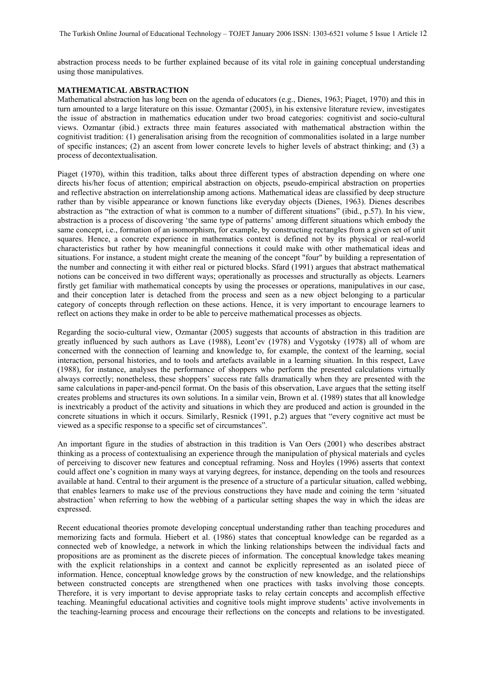abstraction process needs to be further explained because of its vital role in gaining conceptual understanding using those manipulatives.

#### **MATHEMATICAL ABSTRACTION**

Mathematical abstraction has long been on the agenda of educators (e.g., Dienes, 1963; Piaget, 1970) and this in turn amounted to a large literature on this issue. Ozmantar (2005), in his extensive literature review, investigates the issue of abstraction in mathematics education under two broad categories: cognitivist and socio-cultural views. Ozmantar (ibid.) extracts three main features associated with mathematical abstraction within the cognitivist tradition: (1) generalisation arising from the recognition of commonalities isolated in a large number of specific instances; (2) an ascent from lower concrete levels to higher levels of abstract thinking; and (3) a process of decontextualisation.

Piaget (1970), within this tradition, talks about three different types of abstraction depending on where one directs his/her focus of attention; empirical abstraction on objects, pseudo-empirical abstraction on properties and reflective abstraction on interrelationship among actions. Mathematical ideas are classified by deep structure rather than by visible appearance or known functions like everyday objects (Dienes, 1963). Dienes describes abstraction as "the extraction of what is common to a number of different situations" (ibid., p.57). In his view, abstraction is a process of discovering 'the same type of patterns' among different situations which embody the same concept, i.e., formation of an isomorphism, for example, by constructing rectangles from a given set of unit squares. Hence, a concrete experience in mathematics context is defined not by its physical or real-world characteristics but rather by how meaningful connections it could make with other mathematical ideas and situations. For instance, a student might create the meaning of the concept "four" by building a representation of the number and connecting it with either real or pictured blocks. Sfard (1991) argues that abstract mathematical notions can be conceived in two different ways; operationally as processes and structurally as objects. Learners firstly get familiar with mathematical concepts by using the processes or operations, manipulatives in our case, and their conception later is detached from the process and seen as a new object belonging to a particular category of concepts through reflection on these actions. Hence, it is very important to encourage learners to reflect on actions they make in order to be able to perceive mathematical processes as objects.

Regarding the socio-cultural view, Ozmantar (2005) suggests that accounts of abstraction in this tradition are greatly influenced by such authors as Lave (1988), Leont'ev (1978) and Vygotsky (1978) all of whom are concerned with the connection of learning and knowledge to, for example, the context of the learning, social interaction, personal histories, and to tools and artefacts available in a learning situation. In this respect, Lave (1988), for instance, analyses the performance of shoppers who perform the presented calculations virtually always correctly; nonetheless, these shoppers' success rate falls dramatically when they are presented with the same calculations in paper-and-pencil format. On the basis of this observation, Lave argues that the setting itself creates problems and structures its own solutions. In a similar vein, Brown et al. (1989) states that all knowledge is inextricably a product of the activity and situations in which they are produced and action is grounded in the concrete situations in which it occurs. Similarly, Resnick (1991, p.2) argues that "every cognitive act must be viewed as a specific response to a specific set of circumstances".

An important figure in the studies of abstraction in this tradition is Van Oers (2001) who describes abstract thinking as a process of contextualising an experience through the manipulation of physical materials and cycles of perceiving to discover new features and conceptual reframing. Noss and Hoyles (1996) asserts that context could affect one's cognition in many ways at varying degrees, for instance, depending on the tools and resources available at hand. Central to their argument is the presence of a structure of a particular situation, called webbing, that enables learners to make use of the previous constructions they have made and coining the term 'situated abstraction' when referring to how the webbing of a particular setting shapes the way in which the ideas are expressed.

Recent educational theories promote developing conceptual understanding rather than teaching procedures and memorizing facts and formula. Hiebert et al. (1986) states that conceptual knowledge can be regarded as a connected web of knowledge, a network in which the linking relationships between the individual facts and propositions are as prominent as the discrete pieces of information. The conceptual knowledge takes meaning with the explicit relationships in a context and cannot be explicitly represented as an isolated piece of information. Hence, conceptual knowledge grows by the construction of new knowledge, and the relationships between constructed concepts are strengthened when one practices with tasks involving those concepts. Therefore, it is very important to devise appropriate tasks to relay certain concepts and accomplish effective teaching. Meaningful educational activities and cognitive tools might improve students' active involvements in the teaching-learning process and encourage their reflections on the concepts and relations to be investigated.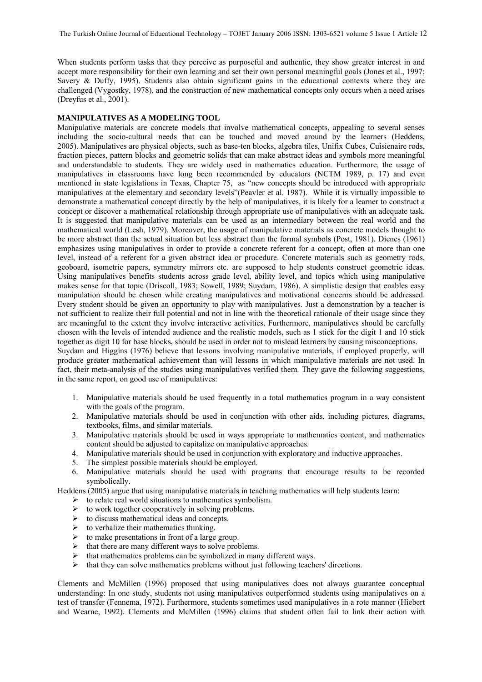When students perform tasks that they perceive as purposeful and authentic, they show greater interest in and accept more responsibility for their own learning and set their own personal meaningful goals (Jones et al., 1997; Savery & Duffy, 1995). Students also obtain significant gains in the educational contexts where they are challenged (Vygostky, 1978), and the construction of new mathematical concepts only occurs when a need arises (Dreyfus et al., 2001).

#### **MANIPULATIVES AS A MODELING TOOL**

Manipulative materials are concrete models that involve mathematical concepts, appealing to several senses including the socio-cultural needs that can be touched and moved around by the learners (Heddens, 2005). Manipulatives are physical objects, such as base-ten blocks, algebra tiles, Unifix Cubes, Cuisienaire rods, fraction pieces, pattern blocks and geometric solids that can make abstract ideas and symbols more meaningful and understandable to students. They are widely used in mathematics education. Furthermore, the usage of manipulatives in classrooms have long been recommended by educators (NCTM 1989, p. 17) and even mentioned in state legislations in Texas, Chapter 75, as "new concepts should be introduced with appropriate manipulatives at the elementary and secondary levels"(Peavler et al. 1987). While it is virtually impossible to demonstrate a mathematical concept directly by the help of manipulatives, it is likely for a learner to construct a concept or discover a mathematical relationship through appropriate use of manipulatives with an adequate task. It is suggested that manipulative materials can be used as an intermediary between the real world and the mathematical world (Lesh, 1979). Moreover, the usage of manipulative materials as concrete models thought to be more abstract than the actual situation but less abstract than the formal symbols (Post, 1981). Dienes (1961) emphasizes using manipulatives in order to provide a concrete referent for a concept, often at more than one level, instead of a referent for a given abstract idea or procedure. Concrete materials such as geometry rods, geoboard, isometric papers, symmetry mirrors etc. are supposed to help students construct geometric ideas. Using manipulatives benefits students across grade level, ability level, and topics which using manipulative makes sense for that topic (Driscoll, 1983; Sowell, 1989; Suydam, 1986). A simplistic design that enables easy manipulation should be chosen while creating manipulatives and motivational concerns should be addressed. Every student should be given an opportunity to play with manipulatives. Just a demonstration by a teacher is not sufficient to realize their full potential and not in line with the theoretical rationale of their usage since they are meaningful to the extent they involve interactive activities. Furthermore, manipulatives should be carefully chosen with the levels of intended audience and the realistic models, such as 1 stick for the digit 1 and 10 stick together as digit 10 for base blocks, should be used in order not to mislead learners by causing misconceptions. Suydam and Higgins (1976) believe that lessons involving manipulative materials, if employed properly, will produce greater mathematical achievement than will lessons in which manipulative materials are not used. In fact, their meta-analysis of the studies using manipulatives verified them. They gave the following suggestions,

in the same report, on good use of manipulatives:

- 1. Manipulative materials should be used frequently in a total mathematics program in a way consistent with the goals of the program.
- 2. Manipulative materials should be used in conjunction with other aids, including pictures, diagrams, textbooks, films, and similar materials.
- 3. Manipulative materials should be used in ways appropriate to mathematics content, and mathematics content should be adjusted to capitalize on manipulative approaches.
- 4. Manipulative materials should be used in conjunction with exploratory and inductive approaches.
- 5. The simplest possible materials should be employed.
- 6. Manipulative materials should be used with programs that encourage results to be recorded symbolically.

Heddens (2005) argue that using manipulative materials in teaching mathematics will help students learn:

- $\triangleright$  to relate real world situations to mathematics symbolism.
- $\triangleright$  to work together cooperatively in solving problems.
- $\triangleright$  to discuss mathematical ideas and concepts.
- $\triangleright$  to verbalize their mathematics thinking.
- $\triangleright$  to make presentations in front of a large group.
- $\triangleright$  that there are many different ways to solve problems.
- $\triangleright$  that mathematics problems can be symbolized in many different ways.
- $\triangleright$  that they can solve mathematics problems without just following teachers' directions.

Clements and McMillen (1996) proposed that using manipulatives does not always guarantee conceptual understanding: In one study, students not using manipulatives outperformed students using manipulatives on a test of transfer (Fennema, 1972). Furthermore, students sometimes used manipulatives in a rote manner (Hiebert and Wearne, 1992). Clements and McMillen (1996) claims that student often fail to link their action with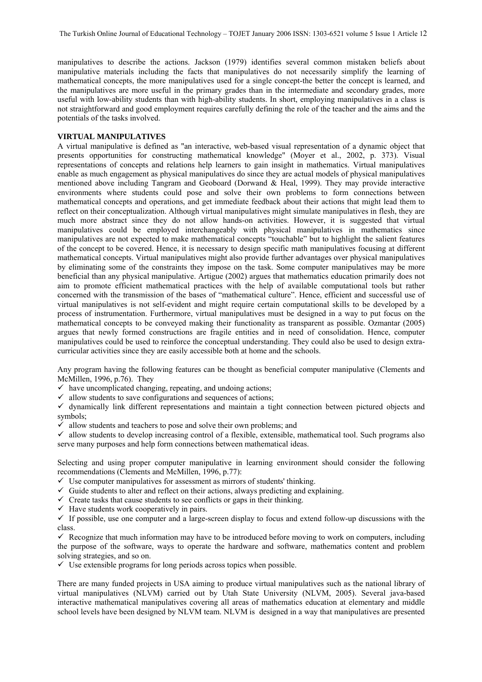manipulatives to describe the actions. Jackson (1979) identifies several common mistaken beliefs about manipulative materials including the facts that manipulatives do not necessarily simplify the learning of mathematical concepts, the more manipulatives used for a single concept-the better the concept is learned, and the manipulatives are more useful in the primary grades than in the intermediate and secondary grades, more useful with low-ability students than with high-ability students. In short, employing manipulatives in a class is not straightforward and good employment requires carefully defining the role of the teacher and the aims and the potentials of the tasks involved.

# **VIRTUAL MANIPULATIVES**

A virtual manipulative is defined as "an interactive, web-based visual representation of a dynamic object that presents opportunities for constructing mathematical knowledge" (Moyer et al., 2002, p. 373). Visual representations of concepts and relations help learners to gain insight in mathematics. Virtual manipulatives enable as much engagement as physical manipulatives do since they are actual models of physical manipulatives mentioned above including Tangram and Geoboard (Dorwand & Heal, 1999). They may provide interactive environments where students could pose and solve their own problems to form connections between mathematical concepts and operations, and get immediate feedback about their actions that might lead them to reflect on their conceptualization. Although virtual manipulatives might simulate manipulatives in flesh, they are much more abstract since they do not allow hands-on activities. However, it is suggested that virtual manipulatives could be employed interchangeably with physical manipulatives in mathematics since manipulatives are not expected to make mathematical concepts "touchable" but to highlight the salient features of the concept to be covered. Hence, it is necessary to design specific math manipulatives focusing at different mathematical concepts. Virtual manipulatives might also provide further advantages over physical manipulatives by eliminating some of the constraints they impose on the task. Some computer manipulatives may be more beneficial than any physical manipulative. Artigue (2002) argues that mathematics education primarily does not aim to promote efficient mathematical practices with the help of available computational tools but rather concerned with the transmission of the bases of "mathematical culture". Hence, efficient and successful use of virtual manipulatives is not self-evident and might require certain computational skills to be developed by a process of instrumentation. Furthermore, virtual manipulatives must be designed in a way to put focus on the mathematical concepts to be conveyed making their functionality as transparent as possible. Ozmantar (2005) argues that newly formed constructions are fragile entities and in need of consolidation. Hence, computer manipulatives could be used to reinforce the conceptual understanding. They could also be used to design extracurricular activities since they are easily accessible both at home and the schools.

Any program having the following features can be thought as beneficial computer manipulative (Clements and McMillen, 1996, p.76). They

- $\checkmark$  have uncomplicated changing, repeating, and undoing actions;
- $\checkmark$  allow students to save configurations and sequences of actions;
- $\checkmark$  dynamically link different representations and maintain a tight connection between pictured objects and symbols;
- $\checkmark$  allow students and teachers to pose and solve their own problems; and
- $\checkmark$  allow students to develop increasing control of a flexible, extensible, mathematical tool. Such programs also serve many purposes and help form connections between mathematical ideas.

Selecting and using proper computer manipulative in learning environment should consider the following recommendations (Clements and McMillen, 1996, p.77):

- $\checkmark$  Use computer manipulatives for assessment as mirrors of students' thinking.
- $\checkmark$  Guide students to alter and reflect on their actions, always predicting and explaining.
- $\checkmark$  Create tasks that cause students to see conflicts or gaps in their thinking.
- $\checkmark$  Have students work cooperatively in pairs.

 $\checkmark$  If possible, use one computer and a large-screen display to focus and extend follow-up discussions with the class.

 $\checkmark$  Recognize that much information may have to be introduced before moving to work on computers, including the purpose of the software, ways to operate the hardware and software, mathematics content and problem solving strategies, and so on.

 $\checkmark$  Use extensible programs for long periods across topics when possible.

There are many funded projects in USA aiming to produce virtual manipulatives such as the national library of virtual manipulatives (NLVM) carried out by Utah State University (NLVM, 2005). Several java-based interactive mathematical manipulatives covering all areas of mathematics education at elementary and middle school levels have been designed by NLVM team. NLVM is designed in a way that manipulatives are presented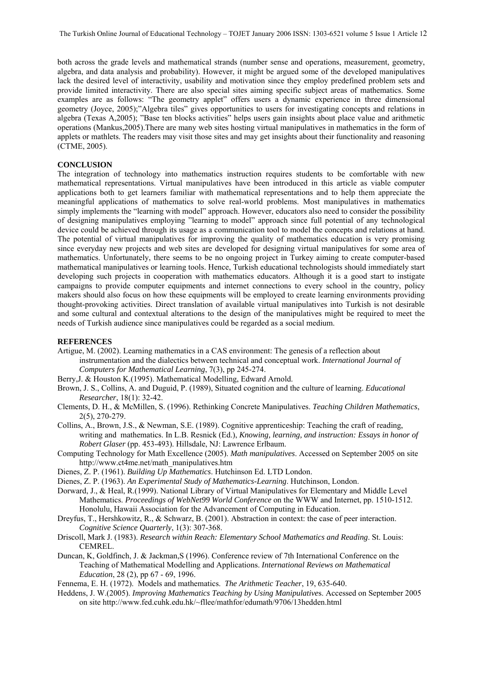both across the grade levels and mathematical strands (number sense and operations, measurement, geometry, algebra, and data analysis and probability). However, it might be argued some of the developed manipulatives lack the desired level of interactivity, usability and motivation since they employ predefined problem sets and provide limited interactivity. There are also special sites aiming specific subject areas of mathematics. Some examples are as follows: "The geometry applet" offers users a dynamic experience in three dimensional geometry (Joyce, 2005);"Algebra tiles" gives opportunities to users for investigating concepts and relations in algebra (Texas A,2005); "Base ten blocks activities" helps users gain insights about place value and arithmetic operations (Mankus,2005).There are many web sites hosting virtual manipulatives in mathematics in the form of applets or mathlets. The readers may visit those sites and may get insights about their functionality and reasoning (CTME, 2005).

# **CONCLUSION**

The integration of technology into mathematics instruction requires students to be comfortable with new mathematical representations. Virtual manipulatives have been introduced in this article as viable computer applications both to get learners familiar with mathematical representations and to help them appreciate the meaningful applications of mathematics to solve real-world problems. Most manipulatives in mathematics simply implements the "learning with model" approach. However, educators also need to consider the possibility of designing manipulatives employing "learning to model" approach since full potential of any technological device could be achieved through its usage as a communication tool to model the concepts and relations at hand. The potential of virtual manipulatives for improving the quality of mathematics education is very promising since everyday new projects and web sites are developed for designing virtual manipulatives for some area of mathematics. Unfortunately, there seems to be no ongoing project in Turkey aiming to create computer-based mathematical manipulatives or learning tools. Hence, Turkish educational technologists should immediately start developing such projects in cooperation with mathematics educators. Although it is a good start to instigate campaigns to provide computer equipments and internet connections to every school in the country, policy makers should also focus on how these equipments will be employed to create learning environments providing thought-provoking activities. Direct translation of available virtual manipulatives into Turkish is not desirable and some cultural and contextual alterations to the design of the manipulatives might be required to meet the needs of Turkish audience since manipulatives could be regarded as a social medium.

#### **REFERENCES**

- Artigue, M. (2002). Learning mathematics in a CAS environment: The genesis of a reflection about instrumentation and the dialectics between technical and conceptual work. *International Journal of Computers for Mathematical Learning*, 7(3), pp 245-274.
- Berry,J. & Houston K.(1995). Mathematical Modelling, Edward Arnold.
- Brown, J. S., Collins, A. and Duguid, P. (1989), Situated cognition and the culture of learning. *Educational Researcher*, 18(1): 32-42.
- Clements, D. H., & McMillen, S. (1996). Rethinking Concrete Manipulatives. *Teaching Children Mathematics*, 2(5), 270-279.
- Collins, A., Brown, J.S., & Newman, S.E. (1989). Cognitive apprenticeship: Teaching the craft of reading, writing and mathematics. In L.B. Resnick (Ed.), *Knowing, learning, and instruction: Essays in honor of Robert Glaser* (pp. 453-493). Hillsdale, NJ: Lawrence Erlbaum.
- Computing Technology for Math Excellence (2005). *Math manipulatives*. Accessed on September 2005 on site http://www.ct4me.net/math\_manipulatives.htm
- Dienes, Z. P. (1961). *Building Up Mathematics*. Hutchinson Ed. LTD London.
- Dienes, Z. P. (1963). *An Experimental Study of Mathematics-Learning*. Hutchinson, London.
- Dorward, J., & Heal, R.(1999). National Library of Virtual Manipulatives for Elementary and Middle Level Mathematics. *Proceedings of WebNet99 World Conference* on the WWW and Internet, pp. 1510-1512. Honolulu, Hawaii Association for the Advancement of Computing in Education.
- Dreyfus, T., Hershkowitz, R., & Schwarz, B. (2001). Abstraction in context: the case of peer interaction. *Cognitive Science Quarterly*, 1(3): 307-368.
- Driscoll, Mark J. (1983). *Research within Reach: Elementary School Mathematics and Reading*. St. Louis: CEMREL.
- Duncan, K, Goldfinch, J. & Jackman,S (1996). Conference review of 7th International Conference on the Teaching of Mathematical Modelling and Applications. *International Reviews on Mathematical Education*, 28 (2), pp 67 - 69, 1996.
- Fennema, E. H. (1972). Models and mathematics. *The Arithmetic Teacher*, 19, 635-640.
- Heddens, J. W.(2005). *Improving Mathematics Teaching by Using Manipulative*s. Accessed on September 2005 on site http://www.fed.cuhk.edu.hk/~fllee/mathfor/edumath/9706/13hedden.html